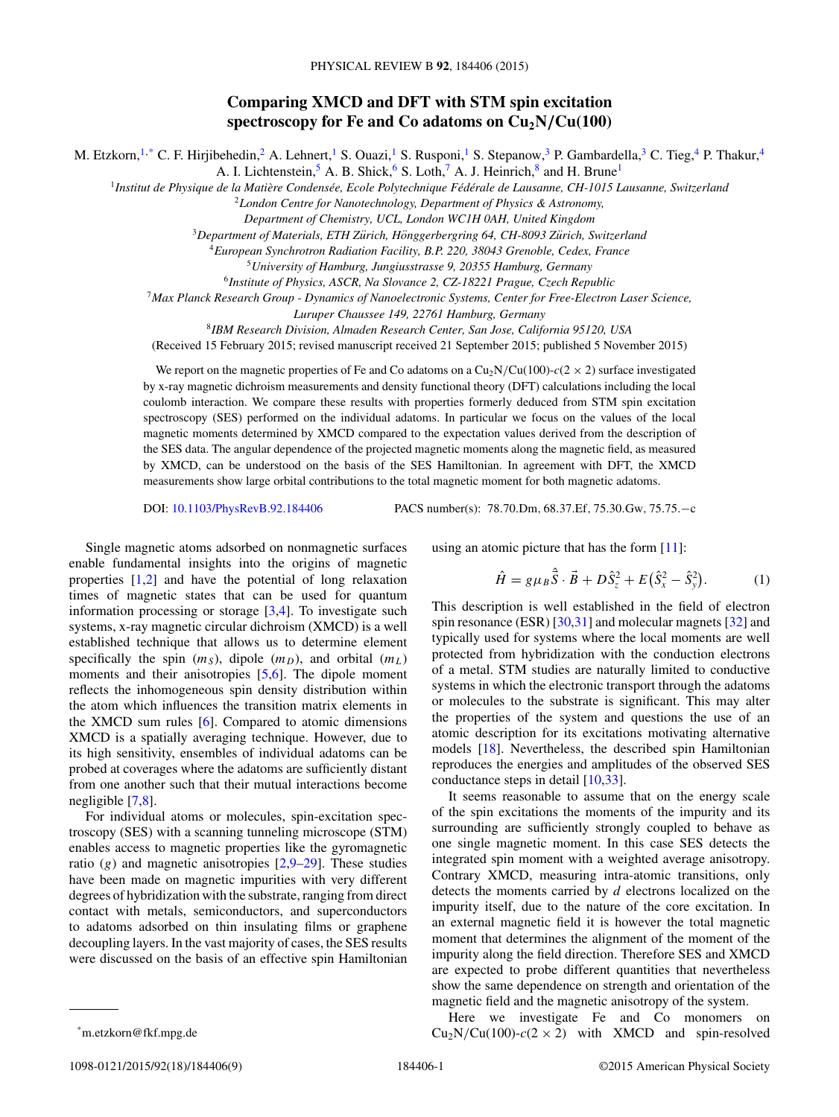# **Comparing XMCD and DFT with STM spin excitation** spectroscopy for Fe and Co adatoms on  $Cu<sub>2</sub>N/Cu(100)$

M. Etzkorn,<sup>1,\*</sup> C. F. Hirjibehedin,<sup>2</sup> A. Lehnert,<sup>1</sup> S. Ouazi,<sup>1</sup> S. Rusponi,<sup>1</sup> S. Stepanow,<sup>3</sup> P. Gambardella,<sup>3</sup> C. Tieg,<sup>4</sup> P. Thakur,<sup>4</sup>

A. I. Lichtenstein,  $5$  A. B. Shick,  $6$  S. Loth,  $7$  A. J. Heinrich,  $8$  and H. Brune<sup>1</sup>

<sup>1</sup>Institut de Physique de la Matière Condensée, Ecole Polytechnique Fédérale de Lausanne, CH-1015 Lausanne, Switzerland

<sup>2</sup>*London Centre for Nanotechnology, Department of Physics & Astronomy,*

*Department of Chemistry, UCL, London WC1H 0AH, United Kingdom*

<sup>3</sup>Department of Materials, ETH Zürich, Hönggerbergring 64, CH-8093 Zürich, Switzerland

<sup>4</sup>*European Synchrotron Radiation Facility, B.P. 220, 38043 Grenoble, Cedex, France*

<sup>5</sup>*University of Hamburg, Jungiusstrasse 9, 20355 Hamburg, Germany*

<sup>6</sup>*Institute of Physics, ASCR, Na Slovance 2, CZ-18221 Prague, Czech Republic*

<sup>7</sup>*Max Planck Research Group - Dynamics of Nanoelectronic Systems, Center for Free-Electron Laser Science,*

*Luruper Chaussee 149, 22761 Hamburg, Germany*

<sup>8</sup>*IBM Research Division, Almaden Research Center, San Jose, California 95120, USA*

(Received 15 February 2015; revised manuscript received 21 September 2015; published 5 November 2015)

We report on the magnetic properties of Fe and Co adatoms on a  $Cu<sub>2</sub>N/Cu(100)-c(2 \times 2)$  surface investigated by x-ray magnetic dichroism measurements and density functional theory (DFT) calculations including the local coulomb interaction. We compare these results with properties formerly deduced from STM spin excitation spectroscopy (SES) performed on the individual adatoms. In particular we focus on the values of the local magnetic moments determined by XMCD compared to the expectation values derived from the description of the SES data. The angular dependence of the projected magnetic moments along the magnetic field, as measured by XMCD, can be understood on the basis of the SES Hamiltonian. In agreement with DFT, the XMCD measurements show large orbital contributions to the total magnetic moment for both magnetic adatoms.

DOI: [10.1103/PhysRevB.92.184406](http://dx.doi.org/10.1103/PhysRevB.92.184406) PACS number(s): 78*.*70*.*Dm*,* 68*.*37*.*Ef*,* 75*.*30*.*Gw*,* 75*.*75*.*−c

Single magnetic atoms adsorbed on nonmagnetic surfaces enable fundamental insights into the origins of magnetic properties [\[1,2\]](#page-7-0) and have the potential of long relaxation times of magnetic states that can be used for quantum information processing or storage [\[3,4\]](#page-7-0). To investigate such systems, x-ray magnetic circular dichroism (XMCD) is a well established technique that allows us to determine element specifically the spin  $(m<sub>S</sub>)$ , dipole  $(m<sub>D</sub>)$ , and orbital  $(m<sub>L</sub>)$ moments and their anisotropies [\[5,6\]](#page-7-0). The dipole moment reflects the inhomogeneous spin density distribution within the atom which influences the transition matrix elements in the XMCD sum rules [\[6\]](#page-7-0). Compared to atomic dimensions XMCD is a spatially averaging technique. However, due to its high sensitivity, ensembles of individual adatoms can be probed at coverages where the adatoms are sufficiently distant from one another such that their mutual interactions become negligible [\[7,8\]](#page-7-0).

For individual atoms or molecules, spin-excitation spectroscopy (SES) with a scanning tunneling microscope (STM) enables access to magnetic properties like the gyromagnetic ratio  $(g)$  and magnetic anisotropies  $[2,9-29]$ . These studies have been made on magnetic impurities with very different degrees of hybridization with the substrate, ranging from direct contact with metals, semiconductors, and superconductors to adatoms adsorbed on thin insulating films or graphene decoupling layers. In the vast majority of cases, the SES results were discussed on the basis of an effective spin Hamiltonian using an atomic picture that has the form [\[11\]](#page-7-0):

$$
\hat{H} = g\mu_B \hat{\vec{S}} \cdot \vec{B} + D\hat{S}_z^2 + E(\hat{S}_x^2 - \hat{S}_y^2).
$$
 (1)

This description is well established in the field of electron spin resonance (ESR) [\[30,31\]](#page-7-0) and molecular magnets [\[32\]](#page-7-0) and typically used for systems where the local moments are well protected from hybridization with the conduction electrons of a metal. STM studies are naturally limited to conductive systems in which the electronic transport through the adatoms or molecules to the substrate is significant. This may alter the properties of the system and questions the use of an atomic description for its excitations motivating alternative models [\[18\]](#page-7-0). Nevertheless, the described spin Hamiltonian reproduces the energies and amplitudes of the observed SES conductance steps in detail [\[10,33\]](#page-7-0).

It seems reasonable to assume that on the energy scale of the spin excitations the moments of the impurity and its surrounding are sufficiently strongly coupled to behave as one single magnetic moment. In this case SES detects the integrated spin moment with a weighted average anisotropy. Contrary XMCD, measuring intra-atomic transitions, only detects the moments carried by *d* electrons localized on the impurity itself, due to the nature of the core excitation. In an external magnetic field it is however the total magnetic moment that determines the alignment of the moment of the impurity along the field direction. Therefore SES and XMCD are expected to probe different quantities that nevertheless show the same dependence on strength and orientation of the magnetic field and the magnetic anisotropy of the system.

Here we investigate Fe and Co monomers on  $Cu<sub>2</sub>N/Cu(100)-c(2 \times 2)$  with XMCD and spin-resolved

<sup>\*</sup>m.etzkorn@fkf.mpg.de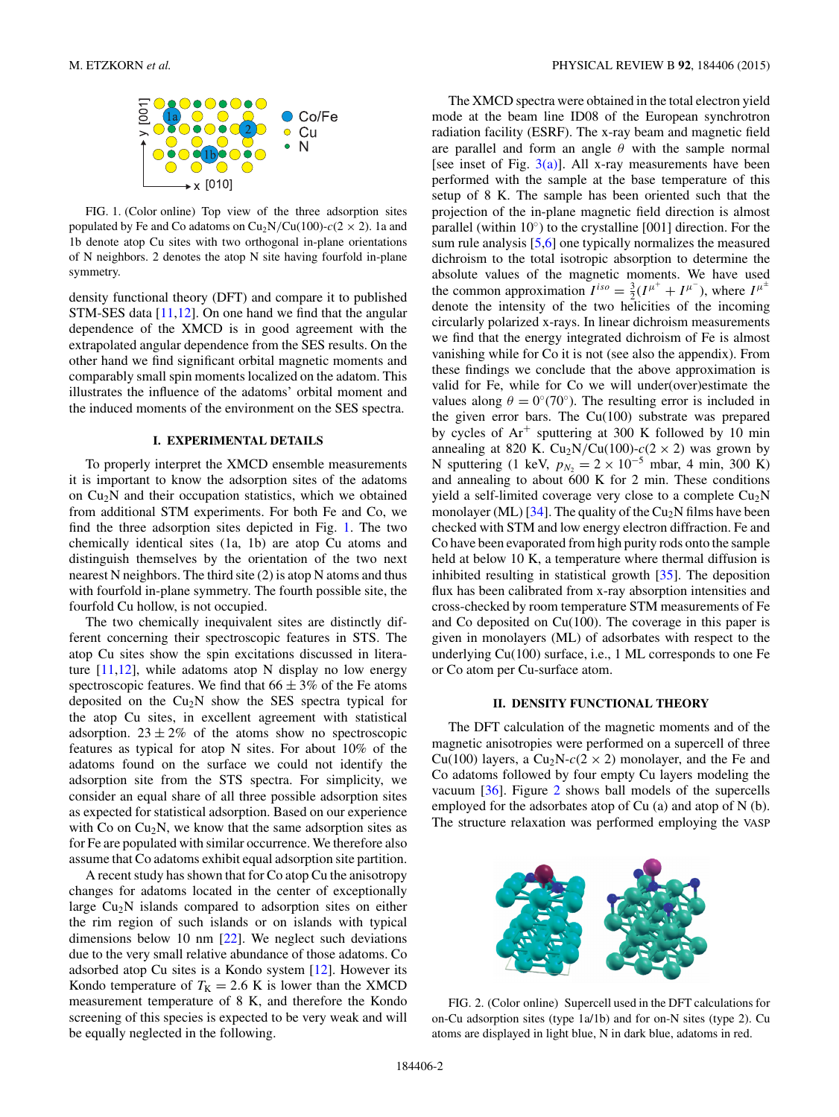<span id="page-1-0"></span>

FIG. 1. (Color online) Top view of the three adsorption sites populated by Fe and Co adatoms on  $Cu<sub>2</sub>N/Cu(100)-c(2 \times 2)$ . 1a and 1b denote atop Cu sites with two orthogonal in-plane orientations of N neighbors. 2 denotes the atop N site having fourfold in-plane symmetry.

density functional theory (DFT) and compare it to published STM-SES data [\[11,12\]](#page-7-0). On one hand we find that the angular dependence of the XMCD is in good agreement with the extrapolated angular dependence from the SES results. On the other hand we find significant orbital magnetic moments and comparably small spin moments localized on the adatom. This illustrates the influence of the adatoms' orbital moment and the induced moments of the environment on the SES spectra.

# **I. EXPERIMENTAL DETAILS**

To properly interpret the XMCD ensemble measurements it is important to know the adsorption sites of the adatoms on  $Cu<sub>2</sub>N$  and their occupation statistics, which we obtained from additional STM experiments. For both Fe and Co, we find the three adsorption sites depicted in Fig. 1. The two chemically identical sites (1a, 1b) are atop Cu atoms and distinguish themselves by the orientation of the two next nearest N neighbors. The third site (2) is atop N atoms and thus with fourfold in-plane symmetry. The fourth possible site, the fourfold Cu hollow, is not occupied.

The two chemically inequivalent sites are distinctly different concerning their spectroscopic features in STS. The atop Cu sites show the spin excitations discussed in literature  $[11,12]$ , while adatoms atop N display no low energy spectroscopic features. We find that  $66 \pm 3\%$  of the Fe atoms deposited on the  $Cu<sub>2</sub>N$  show the SES spectra typical for the atop Cu sites, in excellent agreement with statistical adsorption.  $23 \pm 2\%$  of the atoms show no spectroscopic features as typical for atop N sites. For about 10% of the adatoms found on the surface we could not identify the adsorption site from the STS spectra. For simplicity, we consider an equal share of all three possible adsorption sites as expected for statistical adsorption. Based on our experience with Co on  $Cu<sub>2</sub>N$ , we know that the same adsorption sites as for Fe are populated with similar occurrence. We therefore also assume that Co adatoms exhibit equal adsorption site partition.

A recent study has shown that for Co atop Cu the anisotropy changes for adatoms located in the center of exceptionally large  $Cu<sub>2</sub>N$  islands compared to adsorption sites on either the rim region of such islands or on islands with typical dimensions below 10 nm [\[22\]](#page-7-0). We neglect such deviations due to the very small relative abundance of those adatoms. Co adsorbed atop Cu sites is a Kondo system [\[12\]](#page-7-0). However its Kondo temperature of  $T_K = 2.6$  K is lower than the XMCD measurement temperature of 8 K, and therefore the Kondo screening of this species is expected to be very weak and will be equally neglected in the following.

The XMCD spectra were obtained in the total electron yield mode at the beam line ID08 of the European synchrotron radiation facility (ESRF). The x-ray beam and magnetic field are parallel and form an angle *θ* with the sample normal [see inset of Fig.  $3(a)$ ]. All x-ray measurements have been performed with the sample at the base temperature of this setup of 8 K. The sample has been oriented such that the projection of the in-plane magnetic field direction is almost parallel (within  $10°$ ) to the crystalline [001] direction. For the sum rule analysis [\[5,6\]](#page-7-0) one typically normalizes the measured dichroism to the total isotropic absorption to determine the absolute values of the magnetic moments. We have used the common approximation  $I^{iso} = \frac{3}{2}(I^{\mu^+} + I^{\mu^-})$ , where  $I^{\mu^{\pm}}$ denote the intensity of the two helicities of the incoming circularly polarized x-rays. In linear dichroism measurements we find that the energy integrated dichroism of Fe is almost vanishing while for Co it is not (see also the appendix). From these findings we conclude that the above approximation is valid for Fe, while for Co we will under(over)estimate the values along  $\theta = 0°(70°)$ . The resulting error is included in the given error bars. The Cu(100) substrate was prepared by cycles of  $Ar^+$  sputtering at 300 K followed by 10 min annealing at 820 K. Cu<sub>2</sub>N/Cu(100)- $c(2 \times 2)$  was grown by N sputtering (1 keV,  $p_N = 2 \times 10^{-5}$  mbar, 4 min, 300 K) and annealing to about 600 K for 2 min. These conditions yield a self-limited coverage very close to a complete  $Cu<sub>2</sub>N$ monolayer (ML) [\[34\]](#page-7-0). The quality of the  $Cu<sub>2</sub>N$  films have been checked with STM and low energy electron diffraction. Fe and Co have been evaporated from high purity rods onto the sample held at below 10 K, a temperature where thermal diffusion is inhibited resulting in statistical growth [\[35\]](#page-7-0). The deposition flux has been calibrated from x-ray absorption intensities and cross-checked by room temperature STM measurements of Fe and Co deposited on Cu(100). The coverage in this paper is given in monolayers (ML) of adsorbates with respect to the underlying Cu(100) surface, i.e., 1 ML corresponds to one Fe or Co atom per Cu-surface atom.

#### **II. DENSITY FUNCTIONAL THEORY**

The DFT calculation of the magnetic moments and of the magnetic anisotropies were performed on a supercell of three Cu(100) layers, a Cu<sub>2</sub>N- $c(2 \times 2)$  monolayer, and the Fe and Co adatoms followed by four empty Cu layers modeling the vacuum [\[36\]](#page-7-0). Figure 2 shows ball models of the supercells employed for the adsorbates atop of Cu (a) and atop of N (b). The structure relaxation was performed employing the VASP



FIG. 2. (Color online) Supercell used in the DFT calculations for on-Cu adsorption sites (type 1a/1b) and for on-N sites (type 2). Cu atoms are displayed in light blue, N in dark blue, adatoms in red.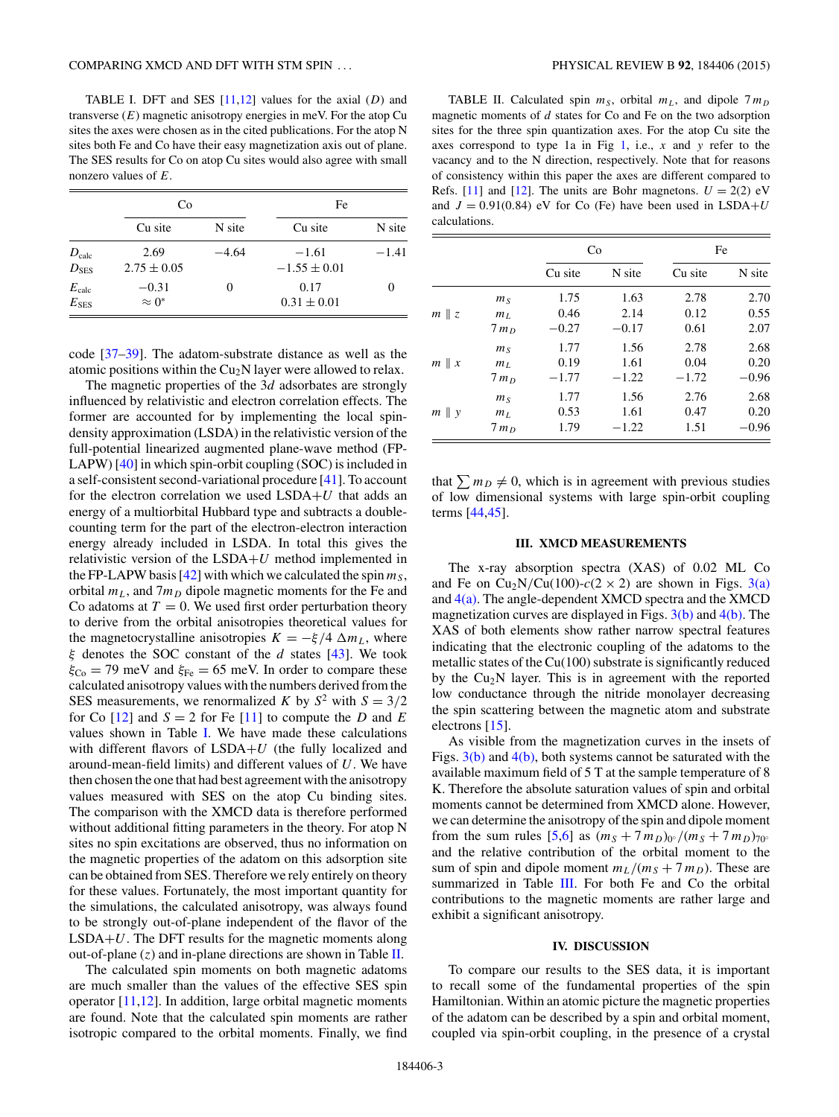<span id="page-2-0"></span>TABLE I. DFT and SES [\[11,12\]](#page-7-0) values for the axial (*D*) and transverse  $(E)$  magnetic anisotropy energies in meV. For the atop Cu sites the axes were chosen as in the cited publications. For the atop N sites both Fe and Co have their easy magnetization axis out of plane. The SES results for Co on atop Cu sites would also agree with small nonzero values of *E*.

|                                      | Co                       |         | Fe                          |         |
|--------------------------------------|--------------------------|---------|-----------------------------|---------|
|                                      | Cu site                  | N site  | Cu site                     | N site  |
| $D_{\rm calc}$<br>$D$ <sub>SES</sub> | 2.69<br>$2.75 \pm 0.05$  | $-4.64$ | $-1.61$<br>$-1.55 \pm 0.01$ | $-1.41$ |
| $E_{\rm calc}$<br>$E_{\rm SES}$      | $-0.31$<br>$\approx 0^*$ | 0       | 0.17<br>$0.31 \pm 0.01$     |         |

code [\[37–39\]](#page-7-0). The adatom-substrate distance as well as the atomic positions within the  $Cu<sub>2</sub>N$  layer were allowed to relax.

The magnetic properties of the 3*d* adsorbates are strongly influenced by relativistic and electron correlation effects. The former are accounted for by implementing the local spindensity approximation (LSDA) in the relativistic version of the full-potential linearized augmented plane-wave method (FP-LAPW) [\[40\]](#page-7-0) in which spin-orbit coupling (SOC) is included in a self-consistent second-variational procedure [\[41\]](#page-7-0). To account for the electron correlation we used LSDA+*U* that adds an energy of a multiorbital Hubbard type and subtracts a doublecounting term for the part of the electron-electron interaction energy already included in LSDA. In total this gives the relativistic version of the LSDA+*U* method implemented in the FP-LAPW basis  $[42]$  with which we calculated the spin  $m<sub>S</sub>$ , orbital  $m<sub>L</sub>$ , and  $7m<sub>D</sub>$  dipole magnetic moments for the Fe and Co adatoms at  $T = 0$ . We used first order perturbation theory to derive from the orbital anisotropies theoretical values for the magnetocrystalline anisotropies  $K = -\xi/4 \Delta m_L$ , where *ξ* denotes the SOC constant of the *d* states [\[43\]](#page-7-0). We took  $\xi_{\text{Co}} = 79$  meV and  $\xi_{\text{Fe}} = 65$  meV. In order to compare these calculated anisotropy values with the numbers derived from the SES measurements, we renormalized *K* by  $S^2$  with  $S = 3/2$ for Co  $[12]$  and  $S = 2$  for Fe  $[11]$  to compute the *D* and *E* values shown in Table I. We have made these calculations with different flavors of LSDA+*U* (the fully localized and around-mean-field limits) and different values of *U*. We have then chosen the one that had best agreement with the anisotropy values measured with SES on the atop Cu binding sites. The comparison with the XMCD data is therefore performed without additional fitting parameters in the theory. For atop N sites no spin excitations are observed, thus no information on the magnetic properties of the adatom on this adsorption site can be obtained from SES. Therefore we rely entirely on theory for these values. Fortunately, the most important quantity for the simulations, the calculated anisotropy, was always found to be strongly out-of-plane independent of the flavor of the LSDA+*U*. The DFT results for the magnetic moments along out-of-plane  $(z)$  and in-plane directions are shown in Table II.

The calculated spin moments on both magnetic adatoms are much smaller than the values of the effective SES spin operator [\[11,12\]](#page-7-0). In addition, large orbital magnetic moments are found. Note that the calculated spin moments are rather isotropic compared to the orbital moments. Finally, we find

TABLE II. Calculated spin  $m<sub>S</sub>$ , orbital  $m<sub>L</sub>$ , and dipole  $7m<sub>D</sub>$ magnetic moments of *d* states for Co and Fe on the two adsorption sites for the three spin quantization axes. For the atop Cu site the axes correspond to type 1a in Fig [1,](#page-1-0) i.e., *x* and *y* refer to the vacancy and to the N direction, respectively. Note that for reasons of consistency within this paper the axes are different compared to Refs. [\[11\]](#page-7-0) and [\[12\]](#page-7-0). The units are Bohr magnetons.  $U = 2(2)$  eV and  $J = 0.91(0.84)$  eV for Co (Fe) have been used in LSDA+*U* calculations.

|                 |                | Co      |         | Fe      |         |
|-----------------|----------------|---------|---------|---------|---------|
|                 |                | Cu site | N site  | Cu site | N site  |
|                 | m <sub>S</sub> | 1.75    | 1.63    | 2.78    | 2.70    |
| $m \parallel z$ | m <sub>L</sub> | 0.46    | 2.14    | 0.12    | 0.55    |
|                 | $7m_D$         | $-0.27$ | $-0.17$ | 0.61    | 2.07    |
|                 | m <sub>S</sub> | 1.77    | 1.56    | 2.78    | 2.68    |
| $m \parallel x$ | $m_L$          | 0.19    | 1.61    | 0.04    | 0.20    |
|                 | $7m_D$         | $-1.77$ | $-1.22$ | $-1.72$ | $-0.96$ |
|                 | m <sub>S</sub> | 1.77    | 1.56    | 2.76    | 2.68    |
| $m \parallel y$ | m <sub>L</sub> | 0.53    | 1.61    | 0.47    | 0.20    |
|                 | $7m_D$         | 1.79    | $-1.22$ | 1.51    | $-0.96$ |

that  $\sum m_D \neq 0$ , which is in agreement with previous studies of low dimensional systems with large spin-orbit coupling terms [\[44,45\]](#page-7-0).

#### **III. XMCD MEASUREMENTS**

The x-ray absorption spectra (XAS) of 0.02 ML Co and Fe on  $Cu_2N/Cu(100) - c(2 \times 2)$  are shown in Figs. [3\(a\)](#page-3-0) and  $4(a)$ . The angle-dependent XMCD spectra and the XMCD magnetization curves are displayed in Figs.  $3(b)$  and  $4(b)$ . The XAS of both elements show rather narrow spectral features indicating that the electronic coupling of the adatoms to the metallic states of the  $Cu(100)$  substrate is significantly reduced by the  $Cu<sub>2</sub>N$  layer. This is in agreement with the reported low conductance through the nitride monolayer decreasing the spin scattering between the magnetic atom and substrate electrons [\[15\]](#page-7-0).

As visible from the magnetization curves in the insets of Figs.  $3(b)$  and  $4(b)$ , both systems cannot be saturated with the available maximum field of 5 T at the sample temperature of 8 K. Therefore the absolute saturation values of spin and orbital moments cannot be determined from XMCD alone. However, we can determine the anisotropy of the spin and dipole moment from the sum rules [\[5,6\]](#page-7-0) as  $(m_S + 7m_D)_{0}$ <sup>*(m<sub>S</sub>* + 7 *m<sub>D</sub>*)<sub>70</sub>°</sup> and the relative contribution of the orbital moment to the sum of spin and dipole moment  $m_L/(m_S + 7 m_D)$ . These are summarized in Table [III.](#page-3-0) For both Fe and Co the orbital contributions to the magnetic moments are rather large and exhibit a significant anisotropy.

## **IV. DISCUSSION**

To compare our results to the SES data, it is important to recall some of the fundamental properties of the spin Hamiltonian. Within an atomic picture the magnetic properties of the adatom can be described by a spin and orbital moment, coupled via spin-orbit coupling, in the presence of a crystal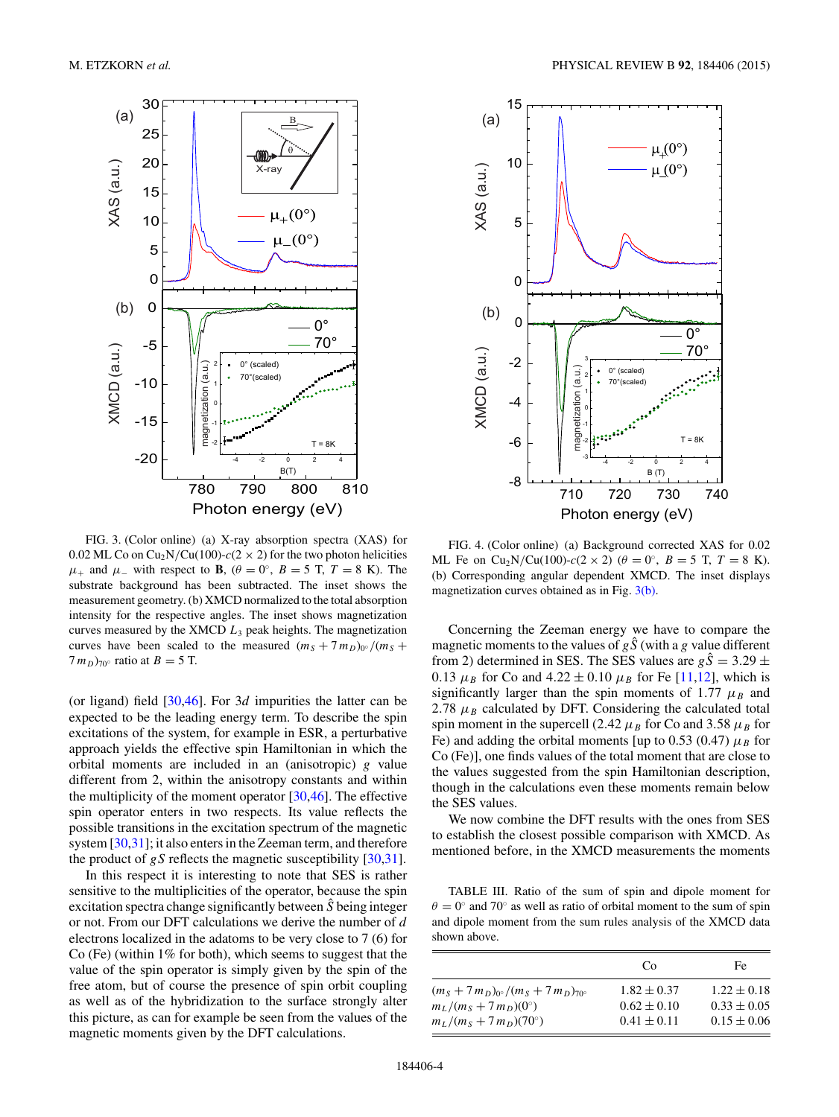<span id="page-3-0"></span>

FIG. 3. (Color online) (a) X-ray absorption spectra (XAS) for 0.02 ML Co on Cu<sub>2</sub>N/Cu(100)- $c(2 \times 2)$  for the two photon helicities *μ*<sup>+</sup> and *μ*<sup>−</sup> with respect to **B**,  $(θ = 0°, B = 5 T, T = 8 K)$ . The substrate background has been subtracted. The inset shows the measurement geometry. (b) XMCD normalized to the total absorption intensity for the respective angles. The inset shows magnetization curves measured by the XMCD *L*<sup>3</sup> peak heights. The magnetization curves have been scaled to the measured  $(m_S + 7m_D)_{0}$ <sup>o</sup>/ $(m_S + 7m_D)_{0}$ <sup>o</sup>/  $(7 m_D)_{70}$ <sup>o</sup> ratio at  $B = 5$  T.

(or ligand) field [\[30,46\]](#page-7-0). For 3*d* impurities the latter can be expected to be the leading energy term. To describe the spin excitations of the system, for example in ESR, a perturbative approach yields the effective spin Hamiltonian in which the orbital moments are included in an (anisotropic) *g* value different from 2, within the anisotropy constants and within the multiplicity of the moment operator  $[30,46]$ . The effective spin operator enters in two respects. Its value reflects the possible transitions in the excitation spectrum of the magnetic system [\[30,31\]](#page-7-0); it also enters in the Zeeman term, and therefore the product of  $gS$  reflects the magnetic susceptibility  $[30,31]$ .

In this respect it is interesting to note that SES is rather sensitive to the multiplicities of the operator, because the spin excitation spectra change significantly between *S*ˆ being integer or not. From our DFT calculations we derive the number of *d* electrons localized in the adatoms to be very close to 7 (6) for Co (Fe) (within 1% for both), which seems to suggest that the value of the spin operator is simply given by the spin of the free atom, but of course the presence of spin orbit coupling as well as of the hybridization to the surface strongly alter this picture, as can for example be seen from the values of the magnetic moments given by the DFT calculations.



FIG. 4. (Color online) (a) Background corrected XAS for 0.02 ML Fe on Cu<sub>2</sub>N/Cu(100)- $c(2 \times 2)$  ( $\theta = 0^{\circ}$ ,  $B = 5$  T,  $T = 8$  K). (b) Corresponding angular dependent XMCD. The inset displays magnetization curves obtained as in Fig. 3(b).

Concerning the Zeeman energy we have to compare the magnetic moments to the values of  $g\hat{S}$  (with a *g* value different from 2) determined in SES. The SES values are  $g\hat{S} = 3.29 \pm$ 0.13  $\mu_B$  for Co and 4.22  $\pm$  0.10  $\mu_B$  for Fe [\[11,12\]](#page-7-0), which is significantly larger than the spin moments of 1.77  $\mu_B$  and 2.78  $\mu_B$  calculated by DFT. Considering the calculated total spin moment in the supercell (2.42  $\mu_B$  for Co and 3.58  $\mu_B$  for Fe) and adding the orbital moments [up to 0.53 (0.47)  $\mu_B$  for Co (Fe)], one finds values of the total moment that are close to the values suggested from the spin Hamiltonian description, though in the calculations even these moments remain below the SES values.

We now combine the DFT results with the ones from SES to establish the closest possible comparison with XMCD. As mentioned before, in the XMCD measurements the moments

TABLE III. Ratio of the sum of spin and dipole moment for  $\theta = 0$ ° and 70° as well as ratio of orbital moment to the sum of spin and dipole moment from the sum rules analysis of the XMCD data shown above.

|                                                                        | Co              | Fe              |
|------------------------------------------------------------------------|-----------------|-----------------|
| $(m_S + 7m_D)_{0}$ /(m <sub>S</sub> + 7 m <sub>D</sub> ) <sub>70</sub> | $1.82 \pm 0.37$ | $1.22 \pm 0.18$ |
| $m_L/(m_S + 7 m_D)(0^{\circ})$                                         | $0.62 \pm 0.10$ | $0.33 \pm 0.05$ |
| $m_L/(m_S + 7 m_D)(70^{\circ})$                                        | $0.41 \pm 0.11$ | $0.15 \pm 0.06$ |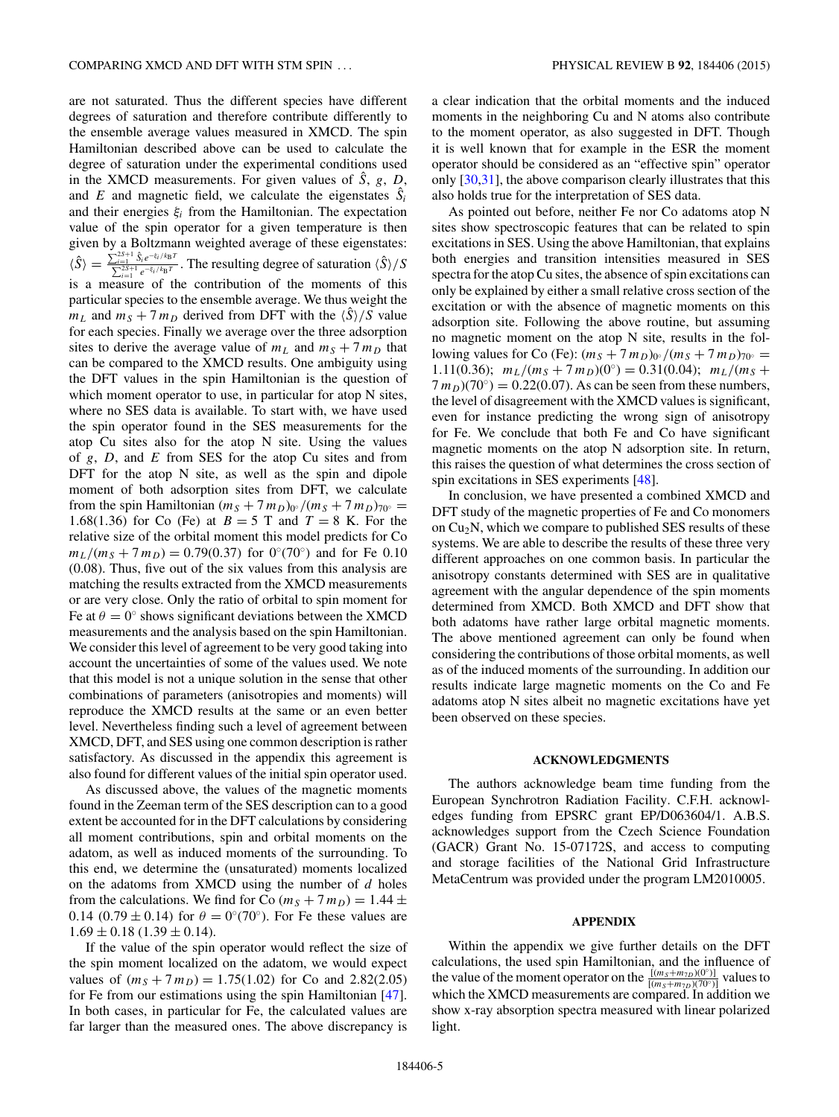are not saturated. Thus the different species have different degrees of saturation and therefore contribute differently to the ensemble average values measured in XMCD. The spin Hamiltonian described above can be used to calculate the degree of saturation under the experimental conditions used in the XMCD measurements. For given values of *S*ˆ, *g*, *D*, and *E* and magnetic field, we calculate the eigenstates  $\hat{S}_i$ and their energies *ξi* from the Hamiltonian. The expectation value of the spin operator for a given temperature is then given by a Boltzmann weighted average of these eigenstates:  $\langle \hat{S} \rangle = \frac{\sum_{i=1}^{2S+1} \hat{S}_i e^{-\xi_i/k_B T}}{\sum_{i=1}^{2S+1} e^{-\xi_i/k_B T}}$  $\sum_{i=1}^{2s+1} S_i e^{-\xi_i/k_B T}$ . The resulting degree of saturation  $\langle \hat{S} \rangle / S$ is a measure of the contribution of the moments of this particular species to the ensemble average. We thus weight the  $m<sub>L</sub>$  and  $m<sub>S</sub> + 7 m<sub>D</sub>$  derived from DFT with the  $\langle \hat{S} \rangle / S$  value for each species. Finally we average over the three adsorption sites to derive the average value of  $m<sub>L</sub>$  and  $m<sub>S</sub> + 7 m<sub>D</sub>$  that can be compared to the XMCD results. One ambiguity using the DFT values in the spin Hamiltonian is the question of which moment operator to use, in particular for atop N sites, where no SES data is available. To start with, we have used the spin operator found in the SES measurements for the atop Cu sites also for the atop N site. Using the values of *g*, *D*, and *E* from SES for the atop Cu sites and from DFT for the atop N site, as well as the spin and dipole moment of both adsorption sites from DFT, we calculate from the spin Hamiltonian  $(m_S + 7m_D)_{0}$ <sup>o</sup>  $/(m_S + 7m_D)_{70}$ <sup>o</sup> = 1*.*68(1*.*36) for Co (Fe) at *B* = 5 T and *T* = 8 K. For the relative size of the orbital moment this model predicts for Co  $m_L/(m_S + 7 m_D) = 0.79(0.37)$  for 0°(70°) and for Fe 0.10 (0.08). Thus, five out of the six values from this analysis are matching the results extracted from the XMCD measurements or are very close. Only the ratio of orbital to spin moment for Fe at  $\theta = 0^\circ$  shows significant deviations between the XMCD measurements and the analysis based on the spin Hamiltonian. We consider this level of agreement to be very good taking into account the uncertainties of some of the values used. We note that this model is not a unique solution in the sense that other combinations of parameters (anisotropies and moments) will reproduce the XMCD results at the same or an even better level. Nevertheless finding such a level of agreement between XMCD, DFT, and SES using one common description is rather satisfactory. As discussed in the appendix this agreement is also found for different values of the initial spin operator used.

As discussed above, the values of the magnetic moments found in the Zeeman term of the SES description can to a good extent be accounted for in the DFT calculations by considering all moment contributions, spin and orbital moments on the adatom, as well as induced moments of the surrounding. To this end, we determine the (unsaturated) moments localized on the adatoms from XMCD using the number of *d* holes from the calculations. We find for Co  $(m_S + 7m_D) = 1.44 \pm 1.00$ 0.14 (0.79  $\pm$  0.14) for  $\theta = 0^{\circ}$  (70°). For Fe these values are  $1.69 \pm 0.18$  (1.39  $\pm$  0.14).

If the value of the spin operator would reflect the size of the spin moment localized on the adatom, we would expect values of  $(m_S + 7m_D) = 1.75(1.02)$  for Co and 2.82(2.05) for Fe from our estimations using the spin Hamiltonian [\[47\]](#page-7-0). In both cases, in particular for Fe, the calculated values are far larger than the measured ones. The above discrepancy is a clear indication that the orbital moments and the induced moments in the neighboring Cu and N atoms also contribute to the moment operator, as also suggested in DFT. Though it is well known that for example in the ESR the moment operator should be considered as an "effective spin" operator only [\[30,31\]](#page-7-0), the above comparison clearly illustrates that this also holds true for the interpretation of SES data.

As pointed out before, neither Fe nor Co adatoms atop N sites show spectroscopic features that can be related to spin excitations in SES. Using the above Hamiltonian, that explains both energies and transition intensities measured in SES spectra for the atop Cu sites, the absence of spin excitations can only be explained by either a small relative cross section of the excitation or with the absence of magnetic moments on this adsorption site. Following the above routine, but assuming no magnetic moment on the atop N site, results in the following values for Co (Fe):  $(m_S + 7 m_D)_{0}$ <sup>o</sup> */*( $m_S + 7 m_D$ )<sub>70</sub>° = 1.11(0.36);  $m_L/(m_S + 7m_D)(0°) = 0.31(0.04); m_L/(m_S + 7m_D)(0°) = 0.31(0.04); m_L/(m_S + 7m_D)(0°) = 0.31(0.04); m_L/(m_S + 7m_D)(0°) = 0.31(0.04); m_L/(m_S + 7m_D)(0°) = 0.31(0.04); m_L/(m_S + 7m_D)(0°) = 0.31(0.04); m_L/(m_S + 7m_D)(0°) = 0.31(0.04); m_L/(m_S + 7m_D)(0°) = 0.31(0.04);$  $7 m_D$ )(70°) = 0.22(0.07). As can be seen from these numbers, the level of disagreement with the XMCD values is significant, even for instance predicting the wrong sign of anisotropy for Fe. We conclude that both Fe and Co have significant magnetic moments on the atop N adsorption site. In return, this raises the question of what determines the cross section of spin excitations in SES experiments [\[48\]](#page-8-0).

In conclusion, we have presented a combined XMCD and DFT study of the magnetic properties of Fe and Co monomers on  $Cu<sub>2</sub>N$ , which we compare to published SES results of these systems. We are able to describe the results of these three very different approaches on one common basis. In particular the anisotropy constants determined with SES are in qualitative agreement with the angular dependence of the spin moments determined from XMCD. Both XMCD and DFT show that both adatoms have rather large orbital magnetic moments. The above mentioned agreement can only be found when considering the contributions of those orbital moments, as well as of the induced moments of the surrounding. In addition our results indicate large magnetic moments on the Co and Fe adatoms atop N sites albeit no magnetic excitations have yet been observed on these species.

### **ACKNOWLEDGMENTS**

The authors acknowledge beam time funding from the European Synchrotron Radiation Facility. C.F.H. acknowledges funding from EPSRC grant EP/D063604/1. A.B.S. acknowledges support from the Czech Science Foundation (GACR) Grant No. 15-07172S, and access to computing and storage facilities of the National Grid Infrastructure MetaCentrum was provided under the program LM2010005.

#### **APPENDIX**

Within the appendix we give further details on the DFT calculations, the used spin Hamiltonian, and the influence of the value of the moment operator on the  $\frac{[(m_S+m_{7D})(0°)]}{[(m_S+m_{7D})(70°)]}$  values to which the XMCD measurements are compared. In addition we show x-ray absorption spectra measured with linear polarized light.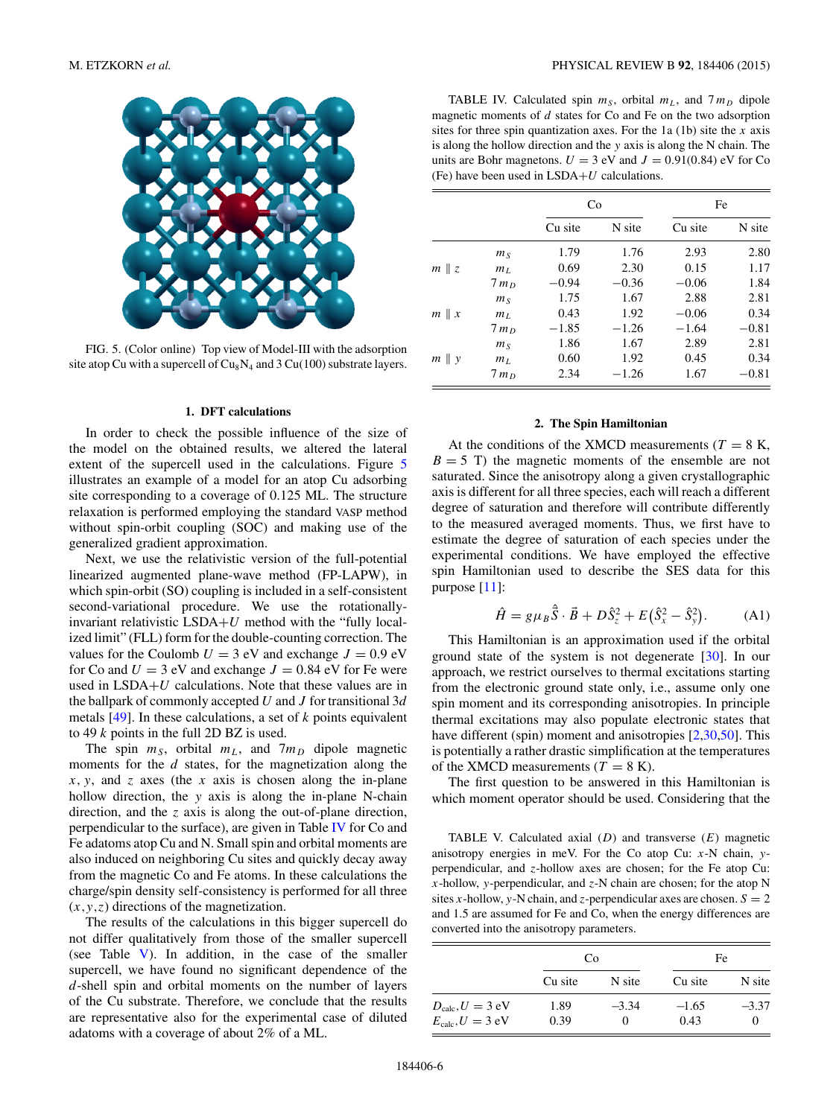

FIG. 5. (Color online) Top view of Model-III with the adsorption site atop Cu with a supercell of  $Cu_8N_4$  and 3 Cu(100) substrate layers.

#### **1. DFT calculations**

In order to check the possible influence of the size of the model on the obtained results, we altered the lateral extent of the supercell used in the calculations. Figure 5 illustrates an example of a model for an atop Cu adsorbing site corresponding to a coverage of 0.125 ML. The structure relaxation is performed employing the standard VASP method without spin-orbit coupling (SOC) and making use of the generalized gradient approximation.

Next, we use the relativistic version of the full-potential linearized augmented plane-wave method (FP-LAPW), in which spin-orbit (SO) coupling is included in a self-consistent second-variational procedure. We use the rotationallyinvariant relativistic LSDA+*U* method with the "fully localized limit" (FLL) form for the double-counting correction. The values for the Coulomb  $U = 3$  eV and exchange  $J = 0.9$  eV for Co and  $U = 3$  eV and exchange  $J = 0.84$  eV for Fe were used in LSDA+*U* calculations. Note that these values are in the ballpark of commonly accepted *U* and *J* for transitional 3*d* metals [\[49\]](#page-8-0). In these calculations, a set of *k* points equivalent to 49 *k* points in the full 2D BZ is used.

The spin  $m<sub>S</sub>$ , orbital  $m<sub>L</sub>$ , and  $7m<sub>D</sub>$  dipole magnetic moments for the *d* states, for the magnetization along the *x,y*, and *z* axes (the *x* axis is chosen along the in-plane hollow direction, the *y* axis is along the in-plane N-chain direction, and the *z* axis is along the out-of-plane direction, perpendicular to the surface), are given in Table IV for Co and Fe adatoms atop Cu and N. Small spin and orbital moments are also induced on neighboring Cu sites and quickly decay away from the magnetic Co and Fe atoms. In these calculations the charge/spin density self-consistency is performed for all three (*x,y,z*) directions of the magnetization.

The results of the calculations in this bigger supercell do not differ qualitatively from those of the smaller supercell (see Table V). In addition, in the case of the smaller supercell, we have found no significant dependence of the *d*-shell spin and orbital moments on the number of layers of the Cu substrate. Therefore, we conclude that the results are representative also for the experimental case of diluted adatoms with a coverage of about 2% of a ML.

TABLE IV. Calculated spin  $m<sub>S</sub>$ , orbital  $m<sub>L</sub>$ , and  $7m<sub>D</sub>$  dipole magnetic moments of *d* states for Co and Fe on the two adsorption sites for three spin quantization axes. For the 1a (1b) site the *x* axis is along the hollow direction and the *y* axis is along the N chain. The units are Bohr magnetons.  $U = 3$  eV and  $J = 0.91(0.84)$  eV for Co (Fe) have been used in LSDA+*U* calculations.

|                 |                | Co      |         | Fe      |         |
|-----------------|----------------|---------|---------|---------|---------|
|                 |                | Cu site | N site  | Cu site | N site  |
|                 | m <sub>S</sub> | 1.79    | 1.76    | 2.93    | 2.80    |
| $m \parallel z$ | m <sub>L</sub> | 0.69    | 2.30    | 0.15    | 1.17    |
|                 | $7m_D$         | $-0.94$ | $-0.36$ | $-0.06$ | 1.84    |
|                 | m <sub>S</sub> | 1.75    | 1.67    | 2.88    | 2.81    |
| $m \parallel x$ | m <sub>L</sub> | 0.43    | 1.92    | $-0.06$ | 0.34    |
|                 | $7m_D$         | $-1.85$ | $-1.26$ | $-1.64$ | $-0.81$ |
|                 | m <sub>S</sub> | 1.86    | 1.67    | 2.89    | 2.81    |
| $m \parallel y$ | m <sub>L</sub> | 0.60    | 1.92    | 0.45    | 0.34    |
|                 | $7m_D$         | 2.34    | $-1.26$ | 1.67    | $-0.81$ |

### **2. The Spin Hamiltonian**

At the conditions of the XMCD measurements ( $T = 8$  K,  $B = 5$  T) the magnetic moments of the ensemble are not saturated. Since the anisotropy along a given crystallographic axis is different for all three species, each will reach a different degree of saturation and therefore will contribute differently to the measured averaged moments. Thus, we first have to estimate the degree of saturation of each species under the experimental conditions. We have employed the effective spin Hamiltonian used to describe the SES data for this purpose [\[11\]](#page-7-0):

$$
\hat{H} = g\mu_B \hat{\vec{S}} \cdot \vec{B} + D\hat{S}_z^2 + E(\hat{S}_x^2 - \hat{S}_y^2).
$$
 (A1)

This Hamiltonian is an approximation used if the orbital ground state of the system is not degenerate [\[30\]](#page-7-0). In our approach, we restrict ourselves to thermal excitations starting from the electronic ground state only, i.e., assume only one spin moment and its corresponding anisotropies. In principle thermal excitations may also populate electronic states that have different (spin) moment and anisotropies [\[2,30,](#page-7-0)[50\]](#page-8-0). This is potentially a rather drastic simplification at the temperatures of the XMCD measurements ( $T = 8$  K).

The first question to be answered in this Hamiltonian is which moment operator should be used. Considering that the

TABLE V. Calculated axial (*D*) and transverse (*E*) magnetic anisotropy energies in meV. For the Co atop Cu: *x*-N chain, *y*perpendicular, and *z*-hollow axes are chosen; for the Fe atop Cu: *x*-hollow, *y*-perpendicular, and *z*-N chain are chosen; for the atop N sites *x*-hollow, *y*-N chain, and *z*-perpendicular axes are chosen.  $S = 2$ and 1.5 are assumed for Fe and Co, when the energy differences are converted into the anisotropy parameters.

|                                | Co      |          | Fe      |          |
|--------------------------------|---------|----------|---------|----------|
|                                | Cu site | N site   | Cu site | N site   |
| $D_{\text{calc}}$ , $U = 3$ eV | 1.89    | $-3.34$  | $-1.65$ | $-3.37$  |
| $E_{\text{calc}}$ , $U = 3$ eV | 0.39    | $^{(1)}$ | 0.43    | $^{(1)}$ |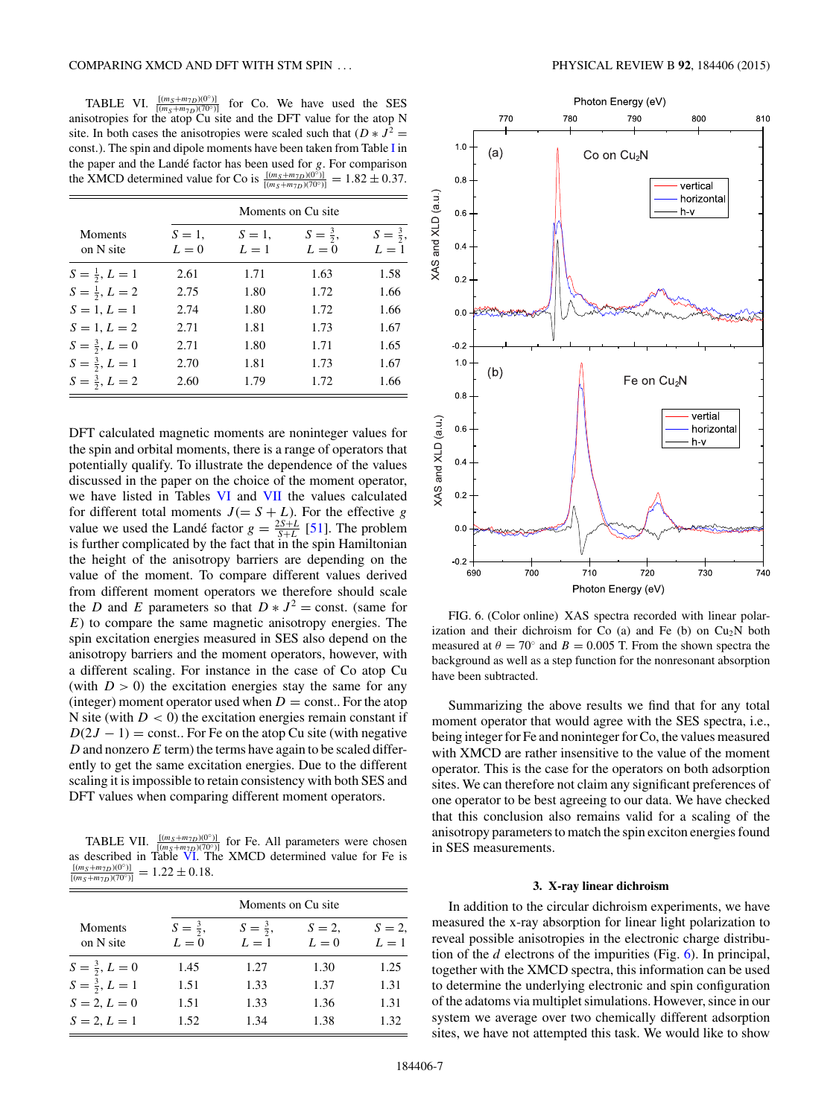<span id="page-6-0"></span>TABLE VI.  $\frac{[(m_S+m_{7D})(0°)]}{[(m_S+m_{7D})(70°)]}$  for Co. We have used the SES anisotropies for the atop Cu site and the DFT value for the atop N site. In both cases the anisotropies were scaled such that  $(D * J^2 =$ const*.*). The spin and dipole moments have been taken from Table [I](#page-2-0) in the paper and the Landé factor has been used for  $g$ . For comparison the XMCD determined value for Co is  $\frac{[(m_S+m_{7D})(0^{\circ})]}{[(m_S+m_{7D})(70^{\circ})]} = 1.82 \pm 0.37$ .

|                          |                  | Moments on Cu site |                              |                              |  |  |
|--------------------------|------------------|--------------------|------------------------------|------------------------------|--|--|
| Moments<br>on N site     | $S=1$ ,<br>$L=0$ | $S=1$ ,<br>$L=1$   | $S = \frac{3}{2}$ ,<br>$L=0$ | $S = \frac{3}{2}$ ,<br>$L=1$ |  |  |
| $S=\frac{1}{2}, L=1$     | 2.61             | 1.71               | 1.63                         | 1.58                         |  |  |
| $S=\frac{1}{2}, L=2$     | 2.75             | 1.80               | 1.72                         | 1.66                         |  |  |
| $S = 1, L = 1$           | 2.74             | 1.80               | 1.72                         | 1.66                         |  |  |
| $S = 1, L = 2$           | 2.71             | 1.81               | 1.73                         | 1.67                         |  |  |
| $S = \frac{3}{2}, L = 0$ | 2.71             | 1.80               | 1.71                         | 1.65                         |  |  |
| $S = \frac{3}{2}, L = 1$ | 2.70             | 1.81               | 1.73                         | 1.67                         |  |  |
| $S = \frac{3}{2}, L = 2$ | 2.60             | 1.79               | 1.72                         | 1.66                         |  |  |

DFT calculated magnetic moments are noninteger values for the spin and orbital moments, there is a range of operators that potentially qualify. To illustrate the dependence of the values discussed in the paper on the choice of the moment operator, we have listed in Tables VI and VII the values calculated for different total moments  $J(= S + L)$ . For the effective *g* value we used the Landé factor  $g = \frac{2S+L}{S+L}$  [\[51\]](#page-8-0). The problem is further complicated by the fact that in the spin Hamiltonian the height of the anisotropy barriers are depending on the value of the moment. To compare different values derived from different moment operators we therefore should scale the *D* and *E* parameters so that  $D * J^2 = \text{const.}$  (same for *E*) to compare the same magnetic anisotropy energies. The spin excitation energies measured in SES also depend on the anisotropy barriers and the moment operators, however, with a different scaling. For instance in the case of Co atop Cu (with  $D > 0$ ) the excitation energies stay the same for any (integer) moment operator used when  $D = \text{const.}$ . For the atop N site (with *D <* 0) the excitation energies remain constant if  $D(2J - 1) = \text{const.}$  For Fe on the atop Cu site (with negative *D* and nonzero *E* term) the terms have again to be scaled differently to get the same excitation energies. Due to the different scaling it is impossible to retain consistency with both SES and DFT values when comparing different moment operators.

TABLE VII.  $\frac{[(m_S+m_{7D})(0°)]}{[(m_S+m_{7D})(70°)]}$  for Fe. All parameters were chosen as described in Table VI. The XMCD determined value for Fe is  $\frac{[(m_S+m_{7D})(0°)]}{[(m_S+m_{7D})(70°)]}$  $= 1.22 \pm 0.18.$ 

|                             |                              | Moments on Cu site.          |                |                |  |
|-----------------------------|------------------------------|------------------------------|----------------|----------------|--|
| <b>Moments</b><br>on N site | $S = \frac{3}{2}$ ,<br>$L=0$ | $S = \frac{3}{2}$ ,<br>$L=1$ | $S=2$<br>$L=0$ | $S=2$<br>$L=1$ |  |
| $S = \frac{3}{2}, L = 0$    | 1.45                         | 1.27                         | 1.30           | 1.25           |  |
| $S = \frac{3}{2}, L = 1$    | 1.51                         | 1.33                         | 1.37           | 1.31           |  |
| $S = 2, L = 0$              | 1.51                         | 1.33                         | 1.36           | 1.31           |  |
| $S = 2, L = 1$              | 1.52                         | 1.34                         | 1.38           | 1.32           |  |



FIG. 6. (Color online) XAS spectra recorded with linear polarization and their dichroism for Co (a) and Fe (b) on  $Cu<sub>2</sub>N$  both measured at  $\theta = 70^\circ$  and  $B = 0.005$  T. From the shown spectra the background as well as a step function for the nonresonant absorption have been subtracted.

Summarizing the above results we find that for any total moment operator that would agree with the SES spectra, *i.e.*, being integer for Fe and noninteger for Co, the values measured with XMCD are rather insensitive to the value of the moment operator. This is the case for the operators on both adsorption sites. We can therefore not claim any significant preferences of one operator to be best agreeing to our data. We have checked that this conclusion also remains valid for a scaling of the anisotropy parameters to match the spin exciton energies found in SES measurements.

#### **3. X-ray linear dichroism**

In addition to the circular dichroism experiments, we have measured the x-ray absorption for linear light polarization to reveal possible anisotropies in the electronic charge distribution of the *d* electrons of the impurities (Fig. 6). In principal, together with the XMCD spectra, this information can be used to determine the underlying electronic and spin configuration of the adatoms via multiplet simulations. However, since in our system we average over two chemically different adsorption sites, we have not attempted this task. We would like to show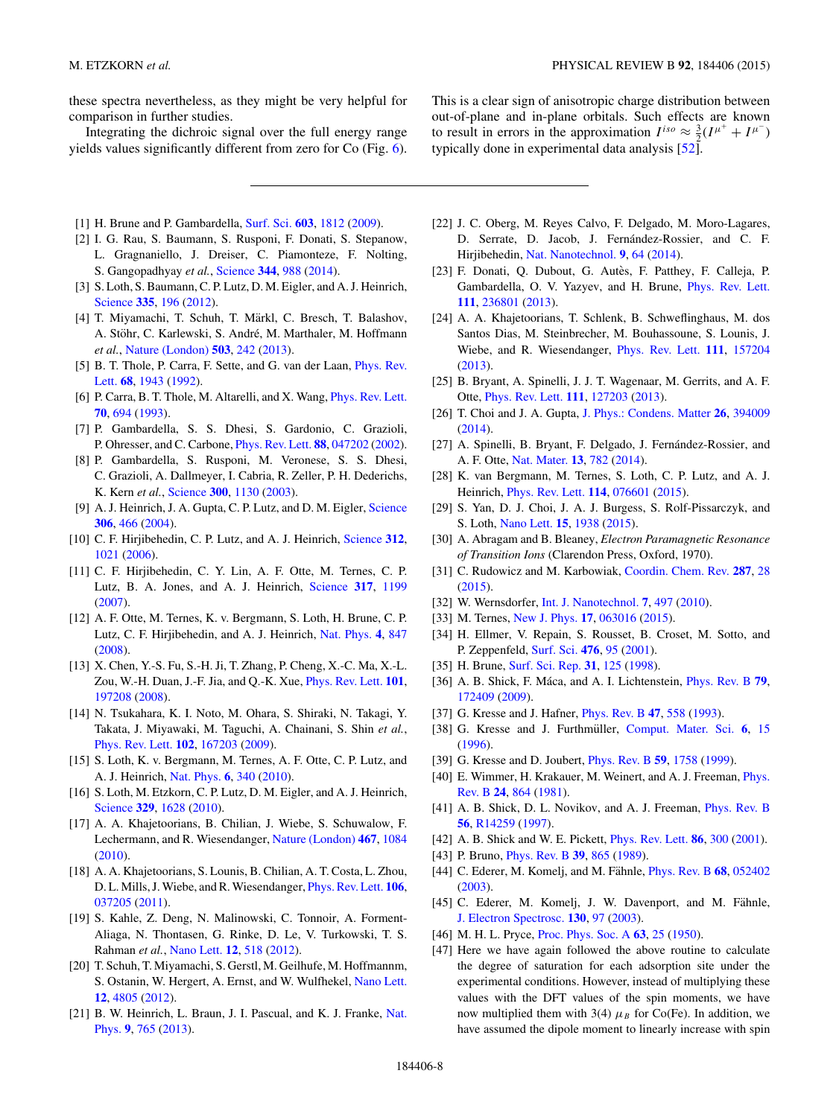<span id="page-7-0"></span>these spectra nevertheless, as they might be very helpful for comparison in further studies.

Integrating the dichroic signal over the full energy range yields values significantly different from zero for Co (Fig. [6\)](#page-6-0).

- This is a clear sign of anisotropic charge distribution between out-of-plane and in-plane orbitals. Such effects are known to result in errors in the approximation  $I^{iso} \approx \frac{3}{2}(I^{\mu^+} + I^{\mu^-})$ typically done in experimental data analysis [\[52\]](#page-8-0).
- [1] H. Brune and P. Gambardella, [Surf. Sci.](http://dx.doi.org/10.1016/j.susc.2008.11.055) **[603](http://dx.doi.org/10.1016/j.susc.2008.11.055)**, [1812](http://dx.doi.org/10.1016/j.susc.2008.11.055) [\(2009\)](http://dx.doi.org/10.1016/j.susc.2008.11.055).
- [2] I. G. Rau, S. Baumann, S. Rusponi, F. Donati, S. Stepanow, L. Gragnaniello, J. Dreiser, C. Piamonteze, F. Nolting, S. Gangopadhyay *et al.*, [Science](http://dx.doi.org/10.1126/science.1252841) **[344](http://dx.doi.org/10.1126/science.1252841)**, [988](http://dx.doi.org/10.1126/science.1252841) [\(2014\)](http://dx.doi.org/10.1126/science.1252841).
- [3] S. Loth, S. Baumann, C. P. Lutz, D. M. Eigler, and A. J. Heinrich, [Science](http://dx.doi.org/10.1126/science.1214131) **[335](http://dx.doi.org/10.1126/science.1214131)**, [196](http://dx.doi.org/10.1126/science.1214131) [\(2012\)](http://dx.doi.org/10.1126/science.1214131).
- [4] T. Miyamachi, T. Schuh, T. Märkl, C. Bresch, T. Balashov, A. Stöhr, C. Karlewski, S. André, M. Marthaler, M. Hoffmann *et al.*, [Nature \(London\)](http://dx.doi.org/10.1038/nature12759) **[503](http://dx.doi.org/10.1038/nature12759)**, [242](http://dx.doi.org/10.1038/nature12759) [\(2013\)](http://dx.doi.org/10.1038/nature12759).
- [5] [B. T. Thole, P. Carra, F. Sette, and G. van der Laan,](http://dx.doi.org/10.1103/PhysRevLett.68.1943) Phys. Rev. Lett. **[68](http://dx.doi.org/10.1103/PhysRevLett.68.1943)**, [1943](http://dx.doi.org/10.1103/PhysRevLett.68.1943) [\(1992\)](http://dx.doi.org/10.1103/PhysRevLett.68.1943).
- [6] P. Carra, B. T. Thole, M. Altarelli, and X. Wang, [Phys. Rev. Lett.](http://dx.doi.org/10.1103/PhysRevLett.70.694) **[70](http://dx.doi.org/10.1103/PhysRevLett.70.694)**, [694](http://dx.doi.org/10.1103/PhysRevLett.70.694) [\(1993\)](http://dx.doi.org/10.1103/PhysRevLett.70.694).
- [7] P. Gambardella, S. S. Dhesi, S. Gardonio, C. Grazioli, P. Ohresser, and C. Carbone, [Phys. Rev. Lett.](http://dx.doi.org/10.1103/PhysRevLett.88.047202) **[88](http://dx.doi.org/10.1103/PhysRevLett.88.047202)**, [047202](http://dx.doi.org/10.1103/PhysRevLett.88.047202) [\(2002\)](http://dx.doi.org/10.1103/PhysRevLett.88.047202).
- [8] P. Gambardella, S. Rusponi, M. Veronese, S. S. Dhesi, C. Grazioli, A. Dallmeyer, I. Cabria, R. Zeller, P. H. Dederichs, K. Kern *et al.*, [Science](http://dx.doi.org/10.1126/science.1082857) **[300](http://dx.doi.org/10.1126/science.1082857)**, [1130](http://dx.doi.org/10.1126/science.1082857) [\(2003\)](http://dx.doi.org/10.1126/science.1082857).
- [9] A. J. Heinrich, J. A. Gupta, C. P. Lutz, and D. M. Eigler, [Science](http://dx.doi.org/10.1126/science.1101077) **[306](http://dx.doi.org/10.1126/science.1101077)**, [466](http://dx.doi.org/10.1126/science.1101077) [\(2004\)](http://dx.doi.org/10.1126/science.1101077).
- [10] C. F. Hirjibehedin, C. P. Lutz, and A. J. Heinrich, [Science](http://dx.doi.org/10.1126/science.1125398) **[312](http://dx.doi.org/10.1126/science.1125398)**, [1021](http://dx.doi.org/10.1126/science.1125398) [\(2006\)](http://dx.doi.org/10.1126/science.1125398).
- [11] C. F. Hirjibehedin, C. Y. Lin, A. F. Otte, M. Ternes, C. P. Lutz, B. A. Jones, and A. J. Heinrich, [Science](http://dx.doi.org/10.1126/science.1146110) **[317](http://dx.doi.org/10.1126/science.1146110)**, [1199](http://dx.doi.org/10.1126/science.1146110) [\(2007\)](http://dx.doi.org/10.1126/science.1146110).
- [12] A. F. Otte, M. Ternes, K. v. Bergmann, S. Loth, H. Brune, C. P. Lutz, C. F. Hirjibehedin, and A. J. Heinrich, [Nat. Phys.](http://dx.doi.org/10.1038/nphys1072) **[4](http://dx.doi.org/10.1038/nphys1072)**, [847](http://dx.doi.org/10.1038/nphys1072) [\(2008\)](http://dx.doi.org/10.1038/nphys1072).
- [13] X. Chen, Y.-S. Fu, S.-H. Ji, T. Zhang, P. Cheng, X.-C. Ma, X.-L. Zou, W.-H. Duan, J.-F. Jia, and Q.-K. Xue, [Phys. Rev. Lett.](http://dx.doi.org/10.1103/PhysRevLett.101.197208) **[101](http://dx.doi.org/10.1103/PhysRevLett.101.197208)**, [197208](http://dx.doi.org/10.1103/PhysRevLett.101.197208) [\(2008\)](http://dx.doi.org/10.1103/PhysRevLett.101.197208).
- [14] N. Tsukahara, K. I. Noto, M. Ohara, S. Shiraki, N. Takagi, Y. Takata, J. Miyawaki, M. Taguchi, A. Chainani, S. Shin *et al.*, [Phys. Rev. Lett.](http://dx.doi.org/10.1103/PhysRevLett.102.167203) **[102](http://dx.doi.org/10.1103/PhysRevLett.102.167203)**, [167203](http://dx.doi.org/10.1103/PhysRevLett.102.167203) [\(2009\)](http://dx.doi.org/10.1103/PhysRevLett.102.167203).
- [15] S. Loth, K. v. Bergmann, M. Ternes, A. F. Otte, C. P. Lutz, and A. J. Heinrich, [Nat. Phys.](http://dx.doi.org/10.1038/nphys1616) **[6](http://dx.doi.org/10.1038/nphys1616)**, [340](http://dx.doi.org/10.1038/nphys1616) [\(2010\)](http://dx.doi.org/10.1038/nphys1616).
- [16] S. Loth, M. Etzkorn, C. P. Lutz, D. M. Eigler, and A. J. Heinrich, [Science](http://dx.doi.org/10.1126/science.1191688) **[329](http://dx.doi.org/10.1126/science.1191688)**, [1628](http://dx.doi.org/10.1126/science.1191688) [\(2010\)](http://dx.doi.org/10.1126/science.1191688).
- [17] A. A. Khajetoorians, B. Chilian, J. Wiebe, S. Schuwalow, F. Lechermann, and R. Wiesendanger, [Nature \(London\)](http://dx.doi.org/10.1038/nature09519) **[467](http://dx.doi.org/10.1038/nature09519)**, [1084](http://dx.doi.org/10.1038/nature09519) [\(2010\)](http://dx.doi.org/10.1038/nature09519).
- [18] A. A. Khajetoorians, S. Lounis, B. Chilian, A. T. Costa, L. Zhou, D. L. Mills, J. Wiebe, and R. Wiesendanger, [Phys. Rev. Lett.](http://dx.doi.org/10.1103/PhysRevLett.106.037205) **[106](http://dx.doi.org/10.1103/PhysRevLett.106.037205)**, [037205](http://dx.doi.org/10.1103/PhysRevLett.106.037205) [\(2011\)](http://dx.doi.org/10.1103/PhysRevLett.106.037205).
- [19] S. Kahle, Z. Deng, N. Malinowski, C. Tonnoir, A. Forment-Aliaga, N. Thontasen, G. Rinke, D. Le, V. Turkowski, T. S. Rahman *et al.*, [Nano Lett.](http://dx.doi.org/10.1021/nl204141z) **[12](http://dx.doi.org/10.1021/nl204141z)**, [518](http://dx.doi.org/10.1021/nl204141z) [\(2012\)](http://dx.doi.org/10.1021/nl204141z).
- [20] T. Schuh, T. Miyamachi, S. Gerstl, M. Geilhufe, M. Hoffmannm, S. Ostanin, W. Hergert, A. Ernst, and W. Wulfhekel, [Nano Lett.](http://dx.doi.org/10.1021/nl302250n) **[12](http://dx.doi.org/10.1021/nl302250n)**, [4805](http://dx.doi.org/10.1021/nl302250n) [\(2012\)](http://dx.doi.org/10.1021/nl302250n).
- [21] [B. W. Heinrich, L. Braun, J. I. Pascual, and K. J. Franke,](http://dx.doi.org/10.1038/nphys2794) Nat. Phys. **[9](http://dx.doi.org/10.1038/nphys2794)**, [765](http://dx.doi.org/10.1038/nphys2794) [\(2013\)](http://dx.doi.org/10.1038/nphys2794).
- [22] J. C. Oberg, M. Reyes Calvo, F. Delgado, M. Moro-Lagares, D. Serrate, D. Jacob, J. Fernández-Rossier, and C. F. Hirjibehedin, [Nat. Nanotechnol.](http://dx.doi.org/10.1038/nnano.2013.264) **[9](http://dx.doi.org/10.1038/nnano.2013.264)**, [64](http://dx.doi.org/10.1038/nnano.2013.264) [\(2014\)](http://dx.doi.org/10.1038/nnano.2013.264).
- [23] F. Donati, Q. Dubout, G. Autès, F. Patthey, F. Calleja, P. Gambardella, O. V. Yazyev, and H. Brune, [Phys. Rev. Lett.](http://dx.doi.org/10.1103/PhysRevLett.111.236801) **[111](http://dx.doi.org/10.1103/PhysRevLett.111.236801)**, [236801](http://dx.doi.org/10.1103/PhysRevLett.111.236801) [\(2013\)](http://dx.doi.org/10.1103/PhysRevLett.111.236801).
- [24] A. A. Khajetoorians, T. Schlenk, B. Schweflinghaus, M. dos Santos Dias, M. Steinbrecher, M. Bouhassoune, S. Lounis, J. Wiebe, and R. Wiesendanger, [Phys. Rev. Lett.](http://dx.doi.org/10.1103/PhysRevLett.111.157204) **[111](http://dx.doi.org/10.1103/PhysRevLett.111.157204)**, [157204](http://dx.doi.org/10.1103/PhysRevLett.111.157204) [\(2013\)](http://dx.doi.org/10.1103/PhysRevLett.111.157204).
- [25] B. Bryant, A. Spinelli, J. J. T. Wagenaar, M. Gerrits, and A. F. Otte, [Phys. Rev. Lett.](http://dx.doi.org/10.1103/PhysRevLett.111.127203) **[111](http://dx.doi.org/10.1103/PhysRevLett.111.127203)**, [127203](http://dx.doi.org/10.1103/PhysRevLett.111.127203) [\(2013\)](http://dx.doi.org/10.1103/PhysRevLett.111.127203).
- [26] T. Choi and J. A. Gupta, [J. Phys.: Condens. Matter](http://dx.doi.org/10.1088/0953-8984/26/39/394009) **[26](http://dx.doi.org/10.1088/0953-8984/26/39/394009)**, [394009](http://dx.doi.org/10.1088/0953-8984/26/39/394009) [\(2014\)](http://dx.doi.org/10.1088/0953-8984/26/39/394009).
- [27] A. Spinelli, B. Bryant, F. Delgado, J. Fernández-Rossier, and A. F. Otte, [Nat. Mater.](http://dx.doi.org/10.1038/nmat4018) **[13](http://dx.doi.org/10.1038/nmat4018)**, [782](http://dx.doi.org/10.1038/nmat4018) [\(2014\)](http://dx.doi.org/10.1038/nmat4018).
- [28] K. van Bergmann, M. Ternes, S. Loth, C. P. Lutz, and A. J. Heinrich, [Phys. Rev. Lett.](http://dx.doi.org/10.1103/PhysRevLett.114.076601) **[114](http://dx.doi.org/10.1103/PhysRevLett.114.076601)**, [076601](http://dx.doi.org/10.1103/PhysRevLett.114.076601) [\(2015\)](http://dx.doi.org/10.1103/PhysRevLett.114.076601).
- [29] S. Yan, D. J. Choi, J. A. J. Burgess, S. Rolf-Pissarczyk, and S. Loth, [Nano Lett.](http://dx.doi.org/10.1021/nl504779p) **[15](http://dx.doi.org/10.1021/nl504779p)**, [1938](http://dx.doi.org/10.1021/nl504779p) [\(2015\)](http://dx.doi.org/10.1021/nl504779p).
- [30] A. Abragam and B. Bleaney, *Electron Paramagnetic Resonance of Transition Ions* (Clarendon Press, Oxford, 1970).
- [31] C. Rudowicz and M. Karbowiak, [Coordin. Chem. Rev.](http://dx.doi.org/10.1016/j.ccr.2014.12.006) **[287](http://dx.doi.org/10.1016/j.ccr.2014.12.006)**, [28](http://dx.doi.org/10.1016/j.ccr.2014.12.006) [\(2015\)](http://dx.doi.org/10.1016/j.ccr.2014.12.006).
- [32] W. Wernsdorfer, [Int. J. Nanotechnol.](http://dx.doi.org/10.1504/IJNT.2010.031732) **[7](http://dx.doi.org/10.1504/IJNT.2010.031732)**, [497](http://dx.doi.org/10.1504/IJNT.2010.031732) [\(2010\)](http://dx.doi.org/10.1504/IJNT.2010.031732).
- [33] M. Ternes, [New J. Phys.](http://dx.doi.org/10.1088/1367-2630/17/6/063016) **[17](http://dx.doi.org/10.1088/1367-2630/17/6/063016)**, [063016](http://dx.doi.org/10.1088/1367-2630/17/6/063016) [\(2015\)](http://dx.doi.org/10.1088/1367-2630/17/6/063016).
- [34] H. Ellmer, V. Repain, S. Rousset, B. Croset, M. Sotto, and P. Zeppenfeld, [Surf. Sci.](http://dx.doi.org/10.1016/S0039-6028(00)01121-3) **[476](http://dx.doi.org/10.1016/S0039-6028(00)01121-3)**, [95](http://dx.doi.org/10.1016/S0039-6028(00)01121-3) [\(2001\)](http://dx.doi.org/10.1016/S0039-6028(00)01121-3).
- [35] H. Brune, [Surf. Sci. Rep.](http://dx.doi.org/10.1016/S0167-5729(99)80001-6) **[31](http://dx.doi.org/10.1016/S0167-5729(99)80001-6)**, [125](http://dx.doi.org/10.1016/S0167-5729(99)80001-6) [\(1998\)](http://dx.doi.org/10.1016/S0167-5729(99)80001-6).
- [36] A. B. Shick, F. Máca, and A. I. Lichtenstein, *[Phys. Rev. B](http://dx.doi.org/10.1103/PhysRevB.79.172409)* [79](http://dx.doi.org/10.1103/PhysRevB.79.172409), [172409](http://dx.doi.org/10.1103/PhysRevB.79.172409) [\(2009\)](http://dx.doi.org/10.1103/PhysRevB.79.172409).
- [37] G. Kresse and J. Hafner, [Phys. Rev. B](http://dx.doi.org/10.1103/PhysRevB.47.558) **[47](http://dx.doi.org/10.1103/PhysRevB.47.558)**, [558](http://dx.doi.org/10.1103/PhysRevB.47.558) [\(1993\)](http://dx.doi.org/10.1103/PhysRevB.47.558).
- [38] G. Kresse and J. Furthmüller, [Comput. Mater. Sci.](http://dx.doi.org/10.1016/0927-0256(96)00008-0) [6](http://dx.doi.org/10.1016/0927-0256(96)00008-0), [15](http://dx.doi.org/10.1016/0927-0256(96)00008-0) [\(1996\)](http://dx.doi.org/10.1016/0927-0256(96)00008-0).
- [39] G. Kresse and D. Joubert, [Phys. Rev. B](http://dx.doi.org/10.1103/PhysRevB.59.1758) **[59](http://dx.doi.org/10.1103/PhysRevB.59.1758)**, [1758](http://dx.doi.org/10.1103/PhysRevB.59.1758) [\(1999\)](http://dx.doi.org/10.1103/PhysRevB.59.1758).
- [40] [E. Wimmer, H. Krakauer, M. Weinert, and A. J. Freeman,](http://dx.doi.org/10.1103/PhysRevB.24.864) Phys. Rev. B **[24](http://dx.doi.org/10.1103/PhysRevB.24.864)**, [864](http://dx.doi.org/10.1103/PhysRevB.24.864) [\(1981\)](http://dx.doi.org/10.1103/PhysRevB.24.864).
- [41] A. B. Shick, D. L. Novikov, and A. J. Freeman, [Phys. Rev. B](http://dx.doi.org/10.1103/PhysRevB.56.R14259) **[56](http://dx.doi.org/10.1103/PhysRevB.56.R14259)**, [R14259](http://dx.doi.org/10.1103/PhysRevB.56.R14259) [\(1997\)](http://dx.doi.org/10.1103/PhysRevB.56.R14259).
- [42] A. B. Shick and W. E. Pickett, [Phys. Rev. Lett.](http://dx.doi.org/10.1103/PhysRevLett.86.300) **[86](http://dx.doi.org/10.1103/PhysRevLett.86.300)**, [300](http://dx.doi.org/10.1103/PhysRevLett.86.300) [\(2001\)](http://dx.doi.org/10.1103/PhysRevLett.86.300).
- [43] P. Bruno, [Phys. Rev. B](http://dx.doi.org/10.1103/PhysRevB.39.865) **[39](http://dx.doi.org/10.1103/PhysRevB.39.865)**, [865](http://dx.doi.org/10.1103/PhysRevB.39.865) [\(1989\)](http://dx.doi.org/10.1103/PhysRevB.39.865).
- [44] C. Ederer, M. Komelj, and M. Fähnle, *[Phys. Rev. B](http://dx.doi.org/10.1103/PhysRevB.68.052402)* [68](http://dx.doi.org/10.1103/PhysRevB.68.052402), [052402](http://dx.doi.org/10.1103/PhysRevB.68.052402) [\(2003\)](http://dx.doi.org/10.1103/PhysRevB.68.052402).
- [45] C. Ederer, M. Komelj, J. W. Davenport, and M. Fähnle, [J. Electron Spectrosc.](http://dx.doi.org/10.1016/S0368-2048(03)00086-0) **[130](http://dx.doi.org/10.1016/S0368-2048(03)00086-0)**, [97](http://dx.doi.org/10.1016/S0368-2048(03)00086-0) [\(2003\)](http://dx.doi.org/10.1016/S0368-2048(03)00086-0).
- [46] M. H. L. Pryce, [Proc. Phys. Soc. A](http://dx.doi.org/10.1088/0370-1298/63/1/304) **[63](http://dx.doi.org/10.1088/0370-1298/63/1/304)**, [25](http://dx.doi.org/10.1088/0370-1298/63/1/304) [\(1950\)](http://dx.doi.org/10.1088/0370-1298/63/1/304).
- [47] Here we have again followed the above routine to calculate the degree of saturation for each adsorption site under the experimental conditions. However, instead of multiplying these values with the DFT values of the spin moments, we have now multiplied them with 3(4)  $\mu_B$  for Co(Fe). In addition, we have assumed the dipole moment to linearly increase with spin